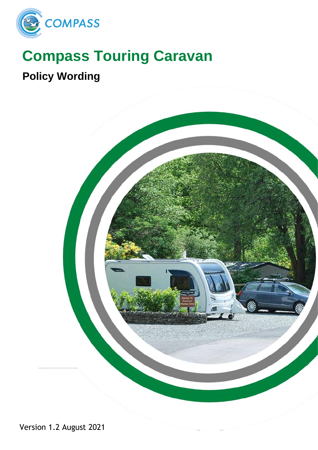

# **Compass Touring Caravan**

## **Policy Wording**

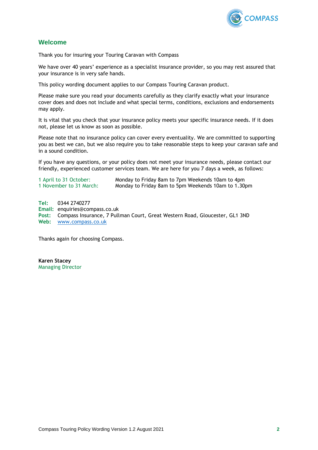

## <span id="page-1-0"></span>**Welcome**

Thank you for insuring your Touring Caravan with Compass

We have over 40 years' experience as a specialist insurance provider, so you may rest assured that your insurance is in very safe hands.

This policy wording document applies to our Compass Touring Caravan product.

Please make sure you read your documents carefully as they clarify exactly what your insurance cover does and does not include and what special terms, conditions, exclusions and endorsements may apply.

It is vital that you check that your insurance policy meets your specific insurance needs. If it does not, please let us know as soon as possible.

Please note that no insurance policy can cover every eventuality. We are committed to supporting you as best we can, but we also require you to take reasonable steps to keep your caravan safe and in a sound condition.

If you have any questions, or your policy does not meet your insurance needs, please contact our friendly, experienced customer services team. We are here for you 7 days a week, as follows:

| 1 April to 31 October:<br>1 November to 31 March: | Monday to Friday 8am to 7pm Weekends 10am to 4pm<br>Monday to Friday 8am to 5pm Weekends 10am to 1.30pm |  |
|---------------------------------------------------|---------------------------------------------------------------------------------------------------------|--|
| Tel:<br>0344 2740277                              |                                                                                                         |  |

**Email:** enquiries@compass.co.uk **Post:** Compass Insurance, 7 Pullman Court, Great Western Road, Gloucester, GL1 3ND **Web:** [www.compass.co.uk](http://www.compass.co.uk/)

Thanks again for choosing Compass.

**Karen Stacey** Managing Director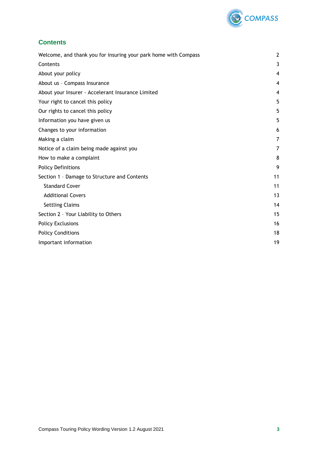

## <span id="page-2-0"></span>**Contents**

| Welcome, and thank you for insuring your park home with Compass |    |
|-----------------------------------------------------------------|----|
| Contents                                                        | 3  |
| About your policy                                               | 4  |
| About us - Compass Insurance                                    | 4  |
| About your Insurer - Accelerant Insurance Limited               | 4  |
| Your right to cancel this policy                                | 5  |
| Our rights to cancel this policy                                | 5  |
| Information you have given us                                   | 5  |
| Changes to your information                                     | 6  |
| Making a claim                                                  | 7  |
| Notice of a claim being made against you                        | 7  |
| How to make a complaint                                         | 8  |
| <b>Policy Definitions</b>                                       | 9  |
| Section 1 - Damage to Structure and Contents                    | 11 |
| <b>Standard Cover</b>                                           | 11 |
| <b>Additional Covers</b>                                        | 13 |
| <b>Settling Claims</b>                                          | 14 |
| Section 2 - Your Liability to Others                            | 15 |
| <b>Policy Exclusions</b>                                        | 16 |
| <b>Policy Conditions</b>                                        | 18 |
| Important information                                           | 19 |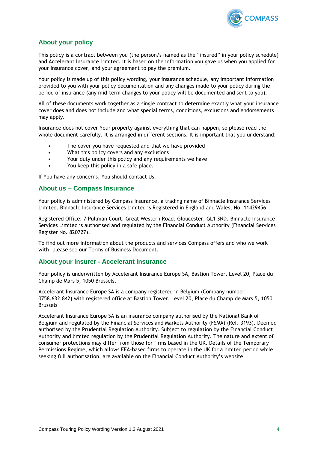

## <span id="page-3-0"></span>**About your policy**

This policy is a contract between you (the person/s named as the "insured" in your policy schedule) and Accelerant Insurance Limited. It is based on the information you gave us when you applied for your insurance cover, and your agreement to pay the premium.

Your policy is made up of this policy wording, your insurance schedule, any important information provided to you with your policy documentation and any changes made to your policy during the period of insurance (any mid-term changes to your policy will be documented and sent to you).

All of these documents work together as a single contract to determine exactly what your insurance cover does and does not include and what special terms, conditions, exclusions and endorsements may apply.

Insurance does not cover Your property against everything that can happen, so please read the whole document carefully. It is arranged in different sections. It is important that you understand:

- The cover you have requested and that we have provided
- What this policy covers and any exclusions
- Your duty under this policy and any requirements we have
- You keep this policy in a safe place.

If You have any concerns, You should contact Us.

#### <span id="page-3-1"></span>**About us – Compass Insurance**

Your policy is administered by Compass Insurance, a trading name of Binnacle Insurance Services Limited. Binnacle Insurance Services Limited is Registered in England and Wales, No. 11429456.

Registered Office: 7 Pullman Court, Great Western Road, Gloucester, GL1 3ND. Binnacle Insurance Services Limited is authorised and regulated by the Financial Conduct Authority (Financial Services Register No. 820727).

To find out more information about the products and services Compass offers and who we work with, please see our Terms of Business Document.

#### <span id="page-3-2"></span>**About your Insurer - Accelerant Insurance**

Your policy is underwritten by Accelerant Insurance Europe SA, Bastion Tower, Level 20, Place du Champ de Mars 5, 1050 Brussels.

Accelerant Insurance Europe SA is a company registered in Belgium (Company number 0758.632.842) with registered office at Bastion Tower, Level 20, Place du Champ de Mars 5, 1050 Brussels

Accelerant Insurance Europe SA is an insurance company authorised by the National Bank of Belgium and regulated by the Financial Services and Markets Authority (FSMA) (Ref. 3193). Deemed authorised by the Prudential Regulation Authority. Subject to regulation by the Financial Conduct Authority and limited regulation by the Prudential Regulation Authority. The nature and extent of consumer protections may differ from those for firms based in the UK. Details of the Temporary Permissions Regime, which allows EEA-based firms to operate in the UK for a limited period while seeking full authorisation, are available on the Financial Conduct Authority's website.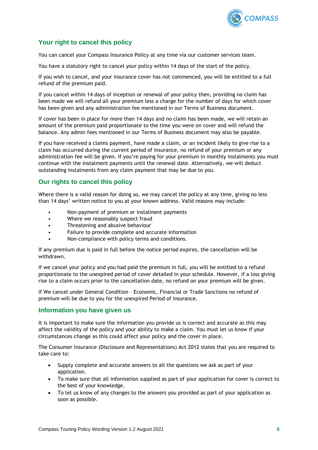

## <span id="page-4-0"></span>**Your right to cancel this policy**

You can cancel your Compass Insurance Policy at any time via our customer services team.

You have a statutory right to cancel your policy within 14 days of the start of the policy.

If you wish to cancel, and your insurance cover has not commenced, you will be entitled to a full refund of the premium paid.

If you cancel within 14 days of inception or renewal of your policy then, providing no claim has been made we will refund all your premium less a charge for the number of days for which cover has been given and any administration fee mentioned in our Terms of Business document.

If cover has been in place for more than 14 days and no claim has been made, we will retain an amount of the premium paid proportionate to the time you were on cover and will refund the balance. Any admin fees mentioned in our Terms of Business document may also be payable.

If you have received a claims payment, have made a claim, or an incident likely to give rise to a claim has occurred during the current period of insurance, no refund of your premium or any administration fee will be given. If you're paying for your premium in monthly instalments you must continue with the instalment payments until the renewal date. Alternatively, we will deduct outstanding instalments from any claim payment that may be due to you.

## <span id="page-4-1"></span>**Our rights to cancel this policy**

Where there is a valid reason for doing so, we may cancel the policy at any time, giving no less than 14 days' written notice to you at your known address. Valid reasons may include:

- Non-payment of premium or instalment payments
- Where we reasonably suspect fraud
- Threatening and abusive behaviour
- Failure to provide complete and accurate information
- Non-compliance with policy terms and conditions.

If any premium due is paid in full before the notice period expires, the cancellation will be withdrawn.

If we cancel your policy and you had paid the premium in full, you will be entitled to a refund proportionate to the unexpired period of cover detailed in your schedule. However, if a loss giving rise to a claim occurs prior to the cancellation date, no refund on your premium will be given.

If We cancel under General Condition – Economic, Financial or Trade Sanctions no refund of premium will be due to you for the unexpired Period of Insurance.

## <span id="page-4-2"></span>**Information you have given us**

It is important to make sure the information you provide us is correct and accurate as this may affect the validity of the policy and your ability to make a claim. You must let us know if your circumstances change as this could affect your policy and the cover in place.

The Consumer Insurance (Disclosure and Representations) Act 2012 states that you are required to take care to:

- Supply complete and accurate answers to all the questions we ask as part of your application.
- To make sure that all information supplied as part of your application for cover is correct to the best of your knowledge.
- To let us know of any changes to the answers you provided as part of your application as soon as possible.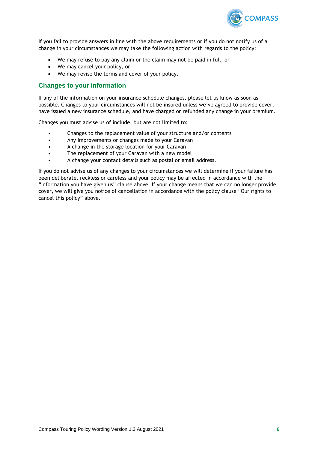

If you fail to provide answers in line with the above requirements or if you do not notify us of a change in your circumstances we may take the following action with regards to the policy:

- We may refuse to pay any claim or the claim may not be paid in full, or
- We may cancel your policy, or
- We may revise the terms and cover of your policy.

## <span id="page-5-0"></span>**Changes to your information**

If any of the information on your insurance schedule changes, please let us know as soon as possible. Changes to your circumstances will not be insured unless we've agreed to provide cover, have issued a new insurance schedule, and have charged or refunded any change in your premium.

Changes you must advise us of include, but are not limited to:

- Changes to the replacement value of your structure and/or contents
- Any improvements or changes made to your Caravan
- A change in the storage location for your Caravan
- The replacement of your Caravan with a new model
- A change your contact details such as postal or email address.

If you do not advise us of any changes to your circumstances we will determine if your failure has been deliberate, reckless or careless and your policy may be affected in accordance with the "Information you have given us" clause above. If your change means that we can no longer provide cover, we will give you notice of cancellation in accordance with the policy clause "Our rights to cancel this policy" above.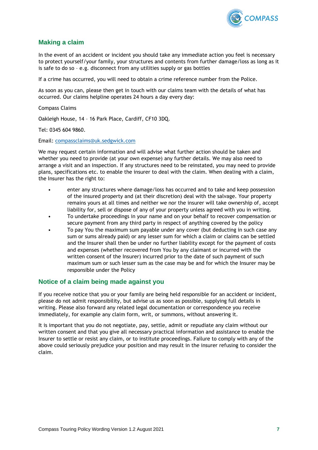

## <span id="page-6-0"></span>**Making a claim**

In the event of an accident or incident you should take any immediate action you feel is necessary to protect yourself/your family, your structures and contents from further damage/loss as long as it is safe to do so – e.g. disconnect from any utilities supply or gas bottles

If a crime has occurred, you will need to obtain a crime reference number from the Police.

As soon as you can, please then get in touch with our claims team with the details of what has occurred. Our claims helpline operates 24 hours a day every day:

Compass Claims

Oakleigh House, 14 – 16 Park Place, Cardiff, CF10 3DQ.

Tel: 0345 604 9860.

Email: [compassclaims@uk.sedgwick.com](mailto:compassclaims@uk.sedgwick.com)

We may request certain information and will advise what further action should be taken and whether you need to provide (at your own expense) any further details. We may also need to arrange a visit and an inspection. If any structures need to be reinstated, you may need to provide plans, specifications etc. to enable the insurer to deal with the claim. When dealing with a claim, the Insurer has the right to:

- enter any structures where damage/loss has occurred and to take and keep possession of the insured property and (at their discretion) deal with the salvage. Your property remains yours at all times and neither we nor the insurer will take ownership of, accept liability for, sell or dispose of any of your property unless agreed with you in writing.
- To undertake proceedings in your name and on your behalf to recover compensation or secure payment from any third party in respect of anything covered by the policy
- To pay You the maximum sum payable under any cover (but deducting in such case any sum or sums already paid) or any lesser sum for which a claim or claims can be settled and the Insurer shall then be under no further liability except for the payment of costs and expenses (whether recovered from You by any claimant or incurred with the written consent of the Insurer) incurred prior to the date of such payment of such maximum sum or such lesser sum as the case may be and for which the Insurer may be responsible under the Policy

## <span id="page-6-1"></span>**Notice of a claim being made against you**

If you receive notice that you or your family are being held responsible for an accident or incident, please do not admit responsibility, but advise us as soon as possible, supplying full details in writing. Please also forward any related legal documentation or correspondence you receive immediately, for example any claim form, writ, or summons, without answering it.

It is important that you do not negotiate, pay, settle, admit or repudiate any claim without our written consent and that you give all necessary practical information and assistance to enable the Insurer to settle or resist any claim, or to institute proceedings. Failure to comply with any of the above could seriously prejudice your position and may result in the insurer refusing to consider the claim.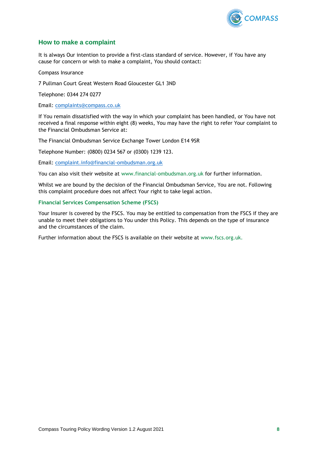

## <span id="page-7-0"></span>**How to make a complaint**

It is always Our intention to provide a first-class standard of service. However, if You have any cause for concern or wish to make a complaint, You should contact:

Compass Insurance

7 Pullman Court Great Western Road Gloucester GL1 3ND

Telephone: 0344 274 0277

Email: [complaints@compass.co.uk](mailto:complaints@compass.co.uk)

If You remain dissatisfied with the way in which your complaint has been handled, or You have not received a final response within eight (8) weeks, You may have the right to refer Your complaint to the Financial Ombudsman Service at:

The Financial Ombudsman Service Exchange Tower London E14 9SR

Telephone Number: (0800) 0234 567 or (0300) 1239 123.

Email: [complaint.info@financial-ombudsman.org.uk](mailto:complaint.info@financial-ombudsman.org.uk)

You can also visit their website at www.financial-ombudsman.org.uk for further information.

Whilst we are bound by the decision of the Financial Ombudsman Service, You are not. Following this complaint procedure does not affect Your right to take legal action.

#### **Financial Services Compensation Scheme (FSCS)**

Your Insurer is covered by the FSCS. You may be entitled to compensation from the FSCS if they are unable to meet their obligations to You under this Policy. This depends on the type of insurance and the circumstances of the claim.

Further information about the FSCS is available on their website at www.fscs.org.uk.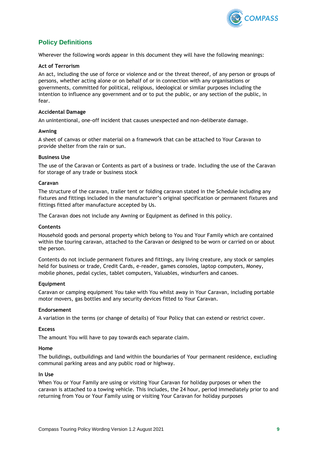

## <span id="page-8-0"></span>**Policy Definitions**

Wherever the following words appear in this document they will have the following meanings:

#### **Act of Terrorism**

An act, including the use of force or violence and or the threat thereof, of any person or groups of persons, whether acting alone or on behalf of or in connection with any organisations or governments, committed for political, religious, ideological or similar purposes including the intention to influence any government and or to put the public, or any section of the public, in fear.

#### **Accidental Damage**

An unintentional, one-off incident that causes unexpected and non-deliberate damage.

#### **Awning**

A sheet of canvas or other material on a framework that can be attached to Your Caravan to provide shelter from the rain or sun.

#### **Business Use**

The use of the Caravan or Contents as part of a business or trade. Including the use of the Caravan for storage of any trade or business stock

#### **Caravan**

The structure of the caravan, trailer tent or folding caravan stated in the Schedule including any fixtures and fittings included in the manufacturer's original specification or permanent fixtures and fittings fitted after manufacture accepted by Us.

The Caravan does not include any Awning or Equipment as defined in this policy.

#### **Contents**

Household goods and personal property which belong to You and Your Family which are contained within the touring caravan, attached to the Caravan or designed to be worn or carried on or about the person.

Contents do not include permanent fixtures and fittings, any living creature, any stock or samples held for business or trade, Credit Cards, e-reader, games consoles, laptop computers, Money, mobile phones, pedal cycles, tablet computers, Valuables, windsurfers and canoes.

#### **Equipment**

Caravan or camping equipment You take with You whilst away in Your Caravan, including portable motor movers, gas bottles and any security devices fitted to Your Caravan.

#### **Endorsement**

A variation in the terms (or change of details) of Your Policy that can extend or restrict cover.

#### **Excess**

The amount You will have to pay towards each separate claim.

#### **Home**

The buildings, outbuildings and land within the boundaries of Your permanent residence, excluding communal parking areas and any public road or highway.

#### **In Use**

When You or Your Family are using or visiting Your Caravan for holiday purposes or when the caravan is attached to a towing vehicle. This includes, the 24 hour, period immediately prior to and returning from You or Your Family using or visiting Your Caravan for holiday purposes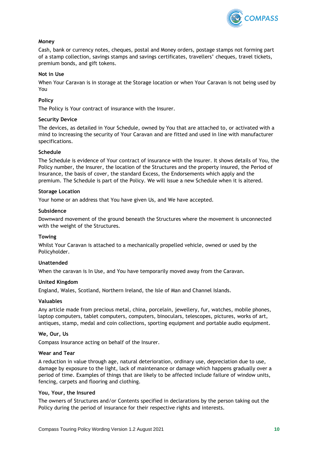

#### **Money**

Cash, bank or currency notes, cheques, postal and Money orders, postage stamps not forming part of a stamp collection, savings stamps and savings certificates, travellers' cheques, travel tickets, premium bonds, and gift tokens.

#### **Not in Use**

When Your Caravan is in storage at the Storage location or when Your Caravan is not being used by You

#### **Policy**

The Policy is Your contract of insurance with the Insurer.

#### **Security Device**

The devices, as detailed in Your Schedule, owned by You that are attached to, or activated with a mind to increasing the security of Your Caravan and are fitted and used in line with manufacturer specifications.

#### **Schedule**

The Schedule is evidence of Your contract of insurance with the Insurer. It shows details of You, the Policy number, the Insurer, the location of the Structures and the property insured, the Period of Insurance, the basis of cover, the standard Excess, the Endorsements which apply and the premium. The Schedule is part of the Policy. We will issue a new Schedule when it is altered.

#### **Storage Location**

Your home or an address that You have given Us, and We have accepted.

#### **Subsidence**

Downward movement of the ground beneath the Structures where the movement is unconnected with the weight of the Structures.

#### **Towing**

Whilst Your Caravan is attached to a mechanically propelled vehicle, owned or used by the Policyholder.

#### **Unattended**

When the caravan is In Use, and You have temporarily moved away from the Caravan.

#### **United Kingdom**

England, Wales, Scotland, Northern Ireland, the Isle of Man and Channel Islands.

#### **Valuables**

Any article made from precious metal, china, porcelain, jewellery, fur, watches, mobile phones, laptop computers, tablet computers, computers, binoculars, telescopes, pictures, works of art, antiques, stamp, medal and coin collections, sporting equipment and portable audio equipment.

#### **We, Our, Us**

Compass Insurance acting on behalf of the Insurer.

#### **Wear and Tear**

A reduction in value through age, natural deterioration, ordinary use, depreciation due to use, damage by exposure to the light, lack of maintenance or damage which happens gradually over a period of time. Examples of things that are likely to be affected include failure of window units, fencing, carpets and flooring and clothing.

#### **You, Your, the Insured**

The owners of Structures and/or Contents specified in declarations by the person taking out the Policy during the period of insurance for their respective rights and interests.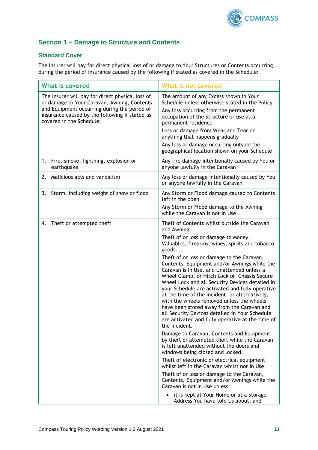

## <span id="page-10-0"></span>**Section 1 – Damage to Structure and Contents**

## <span id="page-10-1"></span>**Standard Cover**

The Insurer will pay for direct physical loss of or damage to Your Structures or Contents occurring during the period of insurance caused by the following if stated as covered in the Schedule:

| <b>What is covered</b>                                                                                                                                                                                                        | What is not covered                                                                                                                                                                                                                                                                                                                                                                                                                                                                                                                                                                                                                                                                                                                                                                                                                                                                                                                                                                                                                                                                                                                                                                                                                   |
|-------------------------------------------------------------------------------------------------------------------------------------------------------------------------------------------------------------------------------|---------------------------------------------------------------------------------------------------------------------------------------------------------------------------------------------------------------------------------------------------------------------------------------------------------------------------------------------------------------------------------------------------------------------------------------------------------------------------------------------------------------------------------------------------------------------------------------------------------------------------------------------------------------------------------------------------------------------------------------------------------------------------------------------------------------------------------------------------------------------------------------------------------------------------------------------------------------------------------------------------------------------------------------------------------------------------------------------------------------------------------------------------------------------------------------------------------------------------------------|
| The Insurer will pay for direct physical loss of<br>or damage to Your Caravan, Awning, Contents<br>and Equipment occurring during the period of<br>insurance caused by the following if stated as<br>covered in the Schedule: | The amount of any Excess shown in Your<br>Schedule unless otherwise stated in the Policy<br>Any loss occurring from the permanent<br>occupation of the Structure or use as a<br>permanent residence<br>Loss or damage from Wear and Tear or<br>anything that happens gradually<br>Any loss or damage occurring outside the<br>geographical location shown on your Schedule                                                                                                                                                                                                                                                                                                                                                                                                                                                                                                                                                                                                                                                                                                                                                                                                                                                            |
| Fire, smoke, lightning, explosion or<br>1.<br>earthquake                                                                                                                                                                      | Any fire damage intentionally caused by You or<br>anyone lawfully in the Caravan                                                                                                                                                                                                                                                                                                                                                                                                                                                                                                                                                                                                                                                                                                                                                                                                                                                                                                                                                                                                                                                                                                                                                      |
| Malicious acts and vandalism<br>2.                                                                                                                                                                                            | Any loss or damage intentionally caused by You<br>or anyone lawfully in the Caravan                                                                                                                                                                                                                                                                                                                                                                                                                                                                                                                                                                                                                                                                                                                                                                                                                                                                                                                                                                                                                                                                                                                                                   |
| Storm, including weight of snow or flood<br>3.                                                                                                                                                                                | Any Storm or Flood damage caused to Contents<br>left in the open<br>Any Storm or Flood damage to the Awning<br>while the Caravan is not In Use.                                                                                                                                                                                                                                                                                                                                                                                                                                                                                                                                                                                                                                                                                                                                                                                                                                                                                                                                                                                                                                                                                       |
| Theft or attempted theft<br>4.                                                                                                                                                                                                | Theft of Contents whilst outside the Caravan<br>and Awning.<br>Theft of or loss or damage to Money,<br>Valuables, firearms, wines, spirits and tobacco<br>goods.<br>Theft of or loss or damage to the Caravan,<br>Contents, Equipment and/or Awnings while the<br>Caravan is In Use, and Unattended unless a<br>Wheel Clamp, or Hitch Lock or Chassis Secure<br>Wheel Lock and all Security Devices detailed in<br>your Schedule are activated and fully operative<br>at the time of the incident, or alternatively,<br>with the wheels removed unless the wheels<br>have been stored away from the Caravan and<br>all Security Devices detailed in Your Schedule<br>are activated and fully operative at the time of<br>the incident.<br>Damage to Caravan, Contents and Equipment<br>by theft or attempted theft while the Caravan<br>is left unattended without the doors and<br>windows being closed and locked.<br>Theft of electronic or electrical equipment<br>whilst left in the Caravan whilst not In Use.<br>Theft of or loss or damage to the Caravan,<br>Contents, Equipment and/or Awnings while the<br>Caravan is not In Use unless:<br>it is kept at Your Home or at a Storage<br>Address You have told Us about; and |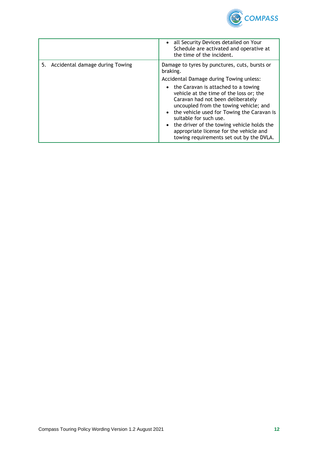

|                                    | • all Security Devices detailed on Your<br>Schedule are activated and operative at<br>the time of the incident.                                                                                                                                                                                                                                                                                                                                                                      |
|------------------------------------|--------------------------------------------------------------------------------------------------------------------------------------------------------------------------------------------------------------------------------------------------------------------------------------------------------------------------------------------------------------------------------------------------------------------------------------------------------------------------------------|
| 5. Accidental damage during Towing | Damage to tyres by punctures, cuts, bursts or<br>braking.<br>Accidental Damage during Towing unless:<br>• the Caravan is attached to a towing<br>vehicle at the time of the loss or; the<br>Caravan had not been deliberately<br>uncoupled from the towing vehicle; and<br>the vehicle used for Towing the Caravan is<br>suitable for such use.<br>the driver of the towing vehicle holds the<br>appropriate license for the vehicle and<br>towing requirements set out by the DVLA. |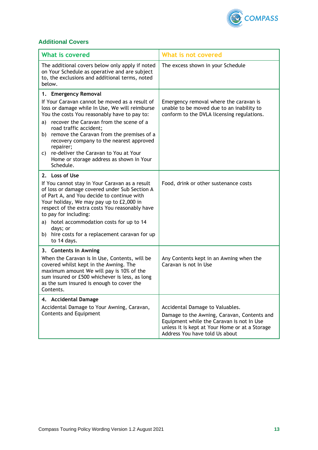

## <span id="page-12-0"></span>**Additional Covers**

| <b>What is covered</b>                                                                                                                                                                                                                                                                                                                                                                               | What is not covered                                                                                                                                                                                             |
|------------------------------------------------------------------------------------------------------------------------------------------------------------------------------------------------------------------------------------------------------------------------------------------------------------------------------------------------------------------------------------------------------|-----------------------------------------------------------------------------------------------------------------------------------------------------------------------------------------------------------------|
| The additional covers below only apply if noted<br>on Your Schedule as operative and are subject<br>to, the exclusions and additional terms, noted<br>below.                                                                                                                                                                                                                                         | The excess shown in your Schedule                                                                                                                                                                               |
| 1. Emergency Removal                                                                                                                                                                                                                                                                                                                                                                                 |                                                                                                                                                                                                                 |
| If Your Caravan cannot be moved as a result of<br>loss or damage while In Use, We will reimburse<br>You the costs You reasonably have to pay to:                                                                                                                                                                                                                                                     | Emergency removal where the caravan is<br>unable to be moved due to an inability to<br>conform to the DVLA licensing regulations.                                                                               |
| recover the Caravan from the scene of a<br>a)<br>road traffic accident;                                                                                                                                                                                                                                                                                                                              |                                                                                                                                                                                                                 |
| remove the Caravan from the premises of a<br>b).<br>recovery company to the nearest approved<br>repairer;                                                                                                                                                                                                                                                                                            |                                                                                                                                                                                                                 |
| re-deliver the Caravan to You at Your<br>C)<br>Home or storage address as shown in Your<br>Schedule.                                                                                                                                                                                                                                                                                                 |                                                                                                                                                                                                                 |
| 2. Loss of Use                                                                                                                                                                                                                                                                                                                                                                                       |                                                                                                                                                                                                                 |
| If You cannot stay in Your Caravan as a result<br>of loss or damage covered under Sub Section A<br>of Part A, and You decide to continue with<br>Your holiday, We may pay up to £2,000 in<br>respect of the extra costs You reasonably have<br>to pay for including:<br>hotel accommodation costs for up to 14<br>a)<br>days; or<br>hire costs for a replacement caravan for up<br>b)<br>to 14 days. | Food, drink or other sustenance costs                                                                                                                                                                           |
| 3. Contents in Awning                                                                                                                                                                                                                                                                                                                                                                                |                                                                                                                                                                                                                 |
| When the Caravan is In Use, Contents, will be<br>covered whilst kept in the Awning. The<br>maximum amount We will pay is 10% of the<br>sum insured or £500 whichever is less, as long<br>as the sum insured is enough to cover the<br>Contents.                                                                                                                                                      | Any Contents kept in an Awning when the<br>Caravan is not In Use                                                                                                                                                |
| 4. Accidental Damage                                                                                                                                                                                                                                                                                                                                                                                 |                                                                                                                                                                                                                 |
| Accidental Damage to Your Awning, Caravan,<br>Contents and Equipment                                                                                                                                                                                                                                                                                                                                 | Accidental Damage to Valuables.<br>Damage to the Awning, Caravan, Contents and<br>Equipment while the Caravan is not In Use<br>unless it is kept at Your Home or at a Storage<br>Address You have told Us about |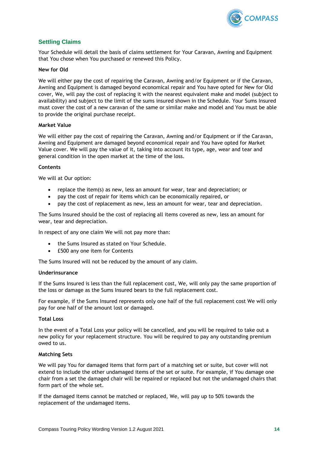

## <span id="page-13-0"></span>**Settling Claims**

Your Schedule will detail the basis of claims settlement for Your Caravan, Awning and Equipment that You chose when You purchased or renewed this Policy.

#### **New for Old**

We will either pay the cost of repairing the Caravan, Awning and/or Equipment or if the Caravan, Awning and Equipment is damaged beyond economical repair and You have opted for New for Old cover, We, will pay the cost of replacing it with the nearest equivalent make and model (subject to availability) and subject to the limit of the sums insured shown in the Schedule. Your Sums Insured must cover the cost of a new caravan of the same or similar make and model and You must be able to provide the original purchase receipt.

#### **Market Value**

We will either pay the cost of repairing the Caravan, Awning and/or Equipment or if the Caravan, Awning and Equipment are damaged beyond economical repair and You have opted for Market Value cover. We will pay the value of it, taking into account its type, age, wear and tear and general condition in the open market at the time of the loss.

#### **Contents**

We will at Our option:

- replace the item(s) as new, less an amount for wear, tear and depreciation; or
- pay the cost of repair for items which can be economically repaired, or
- pay the cost of replacement as new, less an amount for wear, tear and depreciation.

The Sums Insured should be the cost of replacing all items covered as new, less an amount for wear, tear and depreciation.

In respect of any one claim We will not pay more than:

- the Sums Insured as stated on Your Schedule.
- £500 any one item for Contents

The Sums Insured will not be reduced by the amount of any claim.

#### **Underinsurance**

If the Sums Insured is less than the full replacement cost, We, will only pay the same proportion of the loss or damage as the Sums Insured bears to the full replacement cost.

For example, if the Sums Insured represents only one half of the full replacement cost We will only pay for one half of the amount lost or damaged.

#### **Total Loss**

In the event of a Total Loss your policy will be cancelled, and you will be required to take out a new policy for your replacement structure. You will be required to pay any outstanding premium owed to us.

#### **Matching Sets**

We will pay You for damaged items that form part of a matching set or suite, but cover will not extend to include the other undamaged items of the set or suite. For example, if You damage one chair from a set the damaged chair will be repaired or replaced but not the undamaged chairs that form part of the whole set.

If the damaged items cannot be matched or replaced, We, will pay up to 50% towards the replacement of the undamaged items.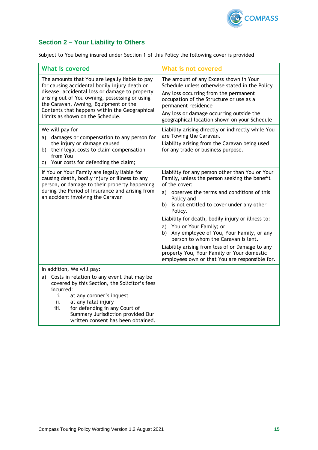

## <span id="page-14-0"></span>**Section 2 – Your Liability to Others**

Subject to You being insured under Section 1 of this Policy the following cover is provided

| <b>What is covered</b>                                                                                                                                                                                                                                                                                                            | What is not covered                                                                                                                                                                                                                                                                                                                                                                                                                                                                                                                                                  |
|-----------------------------------------------------------------------------------------------------------------------------------------------------------------------------------------------------------------------------------------------------------------------------------------------------------------------------------|----------------------------------------------------------------------------------------------------------------------------------------------------------------------------------------------------------------------------------------------------------------------------------------------------------------------------------------------------------------------------------------------------------------------------------------------------------------------------------------------------------------------------------------------------------------------|
| The amounts that You are legally liable to pay<br>for causing accidental bodily injury death or<br>disease, accidental loss or damage to property<br>arising out of You owning, possessing or using<br>the Caravan, Awning, Equipment or the<br>Contents that happens within the Geographical<br>Limits as shown on the Schedule. | The amount of any Excess shown in Your<br>Schedule unless otherwise stated in the Policy<br>Any loss occurring from the permanent<br>occupation of the Structure or use as a<br>permanent residence<br>Any loss or damage occurring outside the<br>geographical location shown on your Schedule                                                                                                                                                                                                                                                                      |
| We will pay for<br>damages or compensation to any person for<br>a)<br>the injury or damage caused<br>their legal costs to claim compensation<br>b).<br>from You<br>Your costs for defending the claim;<br>C).                                                                                                                     | Liability arising directly or indirectly while You<br>are Towing the Caravan.<br>Liability arising from the Caravan being used<br>for any trade or business purpose.                                                                                                                                                                                                                                                                                                                                                                                                 |
| If You or Your Family are legally liable for<br>causing death, bodily injury or illness to any<br>person, or damage to their property happening<br>during the Period of Insurance and arising from<br>an accident involving the Caravan                                                                                           | Liability for any person other than You or Your<br>Family, unless the person seeking the benefit<br>of the cover:<br>a) observes the terms and conditions of this<br>Policy and<br>b) is not entitled to cover under any other<br>Policy.<br>Liability for death, bodily injury or illness to:<br>a) You or Your Family; or<br>b) Any employee of You, Your Family, or any<br>person to whom the Caravan is lent.<br>Liability arising from loss of or Damage to any<br>property You, Your Family or Your domestic<br>employees own or that You are responsible for. |
| In addition, We will pay:<br>Costs in relation to any event that may be<br>a)<br>covered by this Section, the Solicitor's fees<br>incurred:<br>i.<br>at any coroner's inquest<br>ii.<br>at any fatal injury<br>iii.<br>for defending in any Court of<br>Summary Jurisdiction provided Our<br>written consent has been obtained.   |                                                                                                                                                                                                                                                                                                                                                                                                                                                                                                                                                                      |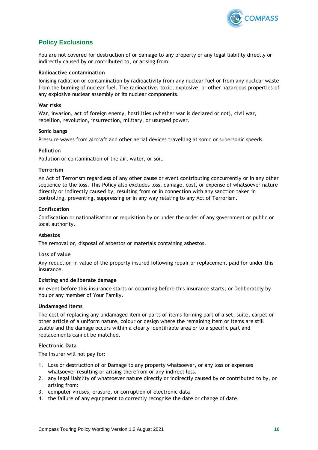

## <span id="page-15-0"></span>**Policy Exclusions**

You are not covered for destruction of or damage to any property or any legal liability directly or indirectly caused by or contributed to, or arising from:

#### **Radioactive contamination**

Ionising radiation or contamination by radioactivity from any nuclear fuel or from any nuclear waste from the burning of nuclear fuel. The radioactive, toxic, explosive, or other hazardous properties of any explosive nuclear assembly or its nuclear components.

#### **War risks**

War, invasion, act of foreign enemy, hostilities (whether war is declared or not), civil war, rebellion, revolution, insurrection, military, or usurped power.

#### **Sonic bangs**

Pressure waves from aircraft and other aerial devices travelling at sonic or supersonic speeds.

#### **Pollution**

Pollution or contamination of the air, water, or soil.

#### **Terrorism**

An Act of Terrorism regardless of any other cause or event contributing concurrently or in any other sequence to the loss. This Policy also excludes loss, damage, cost, or expense of whatsoever nature directly or indirectly caused by, resulting from or in connection with any sanction taken in controlling, preventing, suppressing or in any way relating to any Act of Terrorism.

#### **Confiscation**

Confiscation or nationalisation or requisition by or under the order of any government or public or local authority.

#### **Asbestos**

The removal or, disposal of asbestos or materials containing asbestos.

#### **Loss of value**

Any reduction in value of the property insured following repair or replacement paid for under this insurance.

#### **Existing and deliberate damage**

An event before this insurance starts or occurring before this insurance starts; or Deliberately by You or any member of Your Family.

#### **Undamaged Items**

The cost of replacing any undamaged item or parts of items forming part of a set, suite, carpet or other article of a uniform nature, colour or design where the remaining item or items are still usable and the damage occurs within a clearly identifiable area or to a specific part and replacements cannot be matched.

#### **Electronic Data**

The Insurer will not pay for:

- 1. Loss or destruction of or Damage to any property whatsoever, or any loss or expenses whatsoever resulting or arising therefrom or any indirect loss.
- 2. any legal liability of whatsoever nature directly or indirectly caused by or contributed to by, or arising from:
- 3. computer viruses, erasure, or corruption of electronic data
- 4. the failure of any equipment to correctly recognise the date or change of date.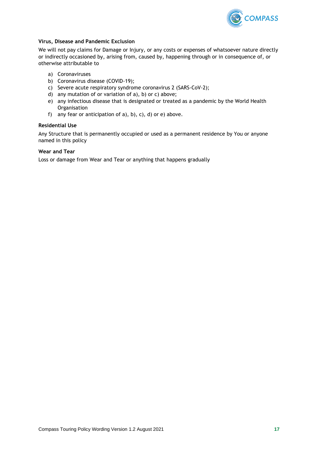

#### **Virus, Disease and Pandemic Exclusion**

We will not pay claims for Damage or Injury, or any costs or expenses of whatsoever nature directly or indirectly occasioned by, arising from, caused by, happening through or in consequence of, or otherwise attributable to

- a) Coronaviruses
- b) Coronavirus disease (COVID-19);
- c) Severe acute respiratory syndrome coronavirus 2 (SARS-CoV-2);
- d) any mutation of or variation of a), b) or c) above;
- e) any infectious disease that is designated or treated as a pandemic by the World Health **Organisation**
- f) any fear or anticipation of  $a$ ),  $b$ ),  $c$ ),  $d$ ) or  $e$ ) above.

#### **Residential Use**

Any Structure that is permanently occupied or used as a permanent residence by You or anyone named in this policy

#### **Wear and Tear**

Loss or damage from Wear and Tear or anything that happens gradually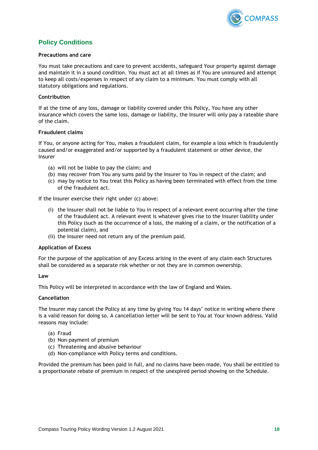

## <span id="page-17-0"></span>**Policy Conditions**

#### **Precautions and care**

You must take precautions and care to prevent accidents, safeguard Your property against damage and maintain it in a sound condition. You must act at all times as if You are uninsured and attempt to keep all costs/expenses in respect of any claim to a minimum. You must comply with all statutory obligations and regulations.

#### **Contribution**

If at the time of any loss, damage or liability covered under this Policy, You have any other insurance which covers the same loss, damage or liability, the Insurer will only pay a rateable share of the claim.

#### **Fraudulent claims**

If You, or anyone acting for You, makes a fraudulent claim, for example a loss which is fraudulently caused and/or exaggerated and/or supported by a fraudulent statement or other device, the Insurer

- (a) will not be liable to pay the claim; and
- (b) may recover from You any sums paid by the Insurer to You in respect of the claim; and
- (c) may by notice to You treat this Policy as having been terminated with effect from the time of the fraudulent act.

If the Insurer exercise their right under (c) above:

- (i) the Insurer shall not be liable to You in respect of a relevant event occurring after the time of the fraudulent act. A relevant event is whatever gives rise to the Insurer liability under this Policy (such as the occurrence of a loss, the making of a claim, or the notification of a potential claim), and
- (ii) the Insurer need not return any of the premium paid.

#### **Application of Excess**

For the purpose of the application of any Excess arising in the event of any claim each Structures shall be considered as a separate risk whether or not they are in common ownership.

#### **Law**

This Policy will be interpreted in accordance with the law of England and Wales.

#### **Cancellation**

The Insurer may cancel the Policy at any time by giving You 14 days' notice in writing where there is a valid reason for doing so. A cancellation letter will be sent to You at Your known address. Valid reasons may include:

- (a) Fraud
- (b) Non-payment of premium
- (c) Threatening and abusive behaviour
- (d) Non-compliance with Policy terms and conditions.

Provided the premium has been paid in full, and no claims have been made, You shall be entitled to a proportionate rebate of premium in respect of the unexpired period showing on the Schedule.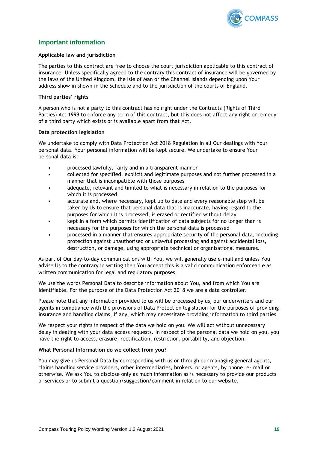

## <span id="page-18-0"></span>**Important information**

#### **Applicable law and jurisdiction**

The parties to this contract are free to choose the court jurisdiction applicable to this contract of insurance. Unless specifically agreed to the contrary this contract of insurance will be governed by the laws of the United Kingdom, the Isle of Man or the Channel Islands depending upon Your address show in shown in the Schedule and to the jurisdiction of the courts of England.

#### **Third parties' rights**

A person who is not a party to this contract has no right under the Contracts (Rights of Third Parties) Act 1999 to enforce any term of this contract, but this does not affect any right or remedy of a third party which exists or is available apart from that Act.

#### **Data protection legislation**

We undertake to comply with Data Protection Act 2018 Regulation in all Our dealings with Your personal data. Your personal information will be kept secure. We undertake to ensure Your personal data is:

- processed lawfully, fairly and in a transparent manner
- collected for specified, explicit and legitimate purposes and not further processed in a manner that is incompatible with those purposes
- adequate, relevant and limited to what is necessary in relation to the purposes for which it is processed
- accurate and, where necessary, kept up to date and every reasonable step will be taken by Us to ensure that personal data that is inaccurate, having regard to the purposes for which it is processed, is erased or rectified without delay
- kept in a form which permits identification of data subjects for no longer than is necessary for the purposes for which the personal data is processed
- processed in a manner that ensures appropriate security of the personal data, including protection against unauthorised or unlawful processing and against accidental loss, destruction, or damage, using appropriate technical or organisational measures.

As part of Our day-to-day communications with You, we will generally use e-mail and unless You advise Us to the contrary in writing then You accept this is a valid communication enforceable as written communication for legal and regulatory purposes.

We use the words Personal Data to describe information about You, and from which You are identifiable. For the purpose of the Data Protection Act 2018 we are a data controller.

Please note that any information provided to us will be processed by us, our underwriters and our agents in compliance with the provisions of Data Protection legislation for the purposes of providing insurance and handling claims, if any, which may necessitate providing information to third parties.

We respect your rights in respect of the data we hold on you. We will act without unnecessary delay in dealing with your data access requests. In respect of the personal data we hold on you, you have the right to access, erasure, rectification, restriction, portability, and objection.

#### **What Personal Information do we collect from you?**

You may give us Personal Data by corresponding with us or through our managing general agents, claims handling service providers, other intermediaries, brokers, or agents, by phone, e- mail or otherwise. We ask You to disclose only as much information as is necessary to provide our products or services or to submit a question/suggestion/comment in relation to our website.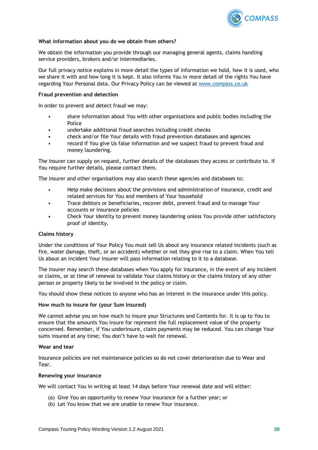

#### **What information about you do we obtain from others?**

We obtain the information you provide through our managing general agents, claims handling service providers, brokers and/or intermediaries.

Our full privacy notice explains in more detail the types of information we hold, how it is used, who we share it with and how long it is kept. It also informs You in more detail of the rights You have regarding Your Personal data. Our Privacy Policy can be viewed at [www.compass.co.uk](http://www.compass.co.uk/)

#### **Fraud prevention and detection**

In order to prevent and detect fraud we may:

- share information about You with other organisations and public bodies including the Police
- undertake additional fraud searches including credit checks
- check and/or file Your details with fraud prevention databases and agencies
- record if You give Us false information and we suspect fraud to prevent fraud and money laundering.

The Insurer can supply on request, further details of the databases they access or contribute to. If You require further details, please contact them.

The Insurer and other organisations may also search these agencies and databases to:

- Help make decisions about the provisions and administration of insurance, credit and related services for You and members of Your household
- Trace debtors or beneficiaries, recover debt, prevent fraud and to manage Your accounts or insurance policies
- Check Your identity to prevent money laundering unless You provide other satisfactory proof of identity.

#### **Claims history**

Under the conditions of Your Policy You must tell Us about any insurance related incidents (such as fire, water damage, theft, or an accident) whether or not they give rise to a claim. When You tell Us about an incident Your Insurer will pass information relating to it to a database.

The Insurer may search these databases when You apply for insurance, in the event of any incident or claims, or at time of renewal to validate Your claims history or the claims history of any other person or property likely to be involved in the policy or claim.

You should show these notices to anyone who has an interest in the insurance under this policy.

#### **How much to insure for (your Sum Insured)**

We cannot advise you on how much to insure your Structures and Contents for. It is up to You to ensure that the amounts You insure for represent the full replacement value of the property concerned. Remember, if You underinsure, claim payments may be reduced. You can change Your sums insured at any time; You don't have to wait for renewal.

#### **Wear and tear**

Insurance policies are not maintenance policies so do not cover deterioration due to Wear and Tear.

#### **Renewing your insurance**

We will contact You in writing at least 14 days before Your renewal date and will either:

- (a) Give You an opportunity to renew Your insurance for a further year; or
- (b) Let You know that we are unable to renew Your insurance.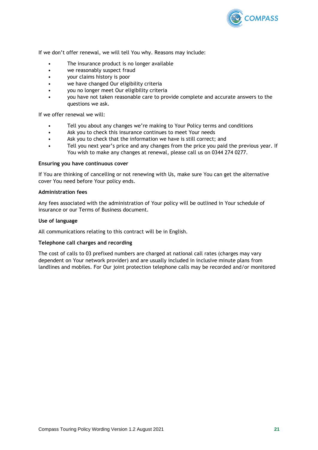

If we don't offer renewal, we will tell You why. Reasons may include:

- The insurance product is no longer available
- we reasonably suspect fraud
- your claims history is poor
- we have changed Our eligibility criteria
- you no longer meet Our eligibility criteria
- you have not taken reasonable care to provide complete and accurate answers to the questions we ask.

If we offer renewal we will:

- Tell you about any changes we're making to Your Policy terms and conditions
- Ask you to check this insurance continues to meet Your needs
- Ask you to check that the information we have is still correct; and
- Tell you next year's price and any changes from the price you paid the previous year. If You wish to make any changes at renewal, please call us on 0344 274 0277.

#### **Ensuring you have continuous cover**

If You are thinking of cancelling or not renewing with Us, make sure You can get the alternative cover You need before Your policy ends.

#### **Administration fees**

Any fees associated with the administration of Your policy will be outlined in Your schedule of insurance or our Terms of Business document.

#### **Use of language**

All communications relating to this contract will be in English.

#### **Telephone call charges and recording**

The cost of calls to 03 prefixed numbers are charged at national call rates (charges may vary dependent on Your network provider) and are usually included in inclusive minute plans from landlines and mobiles. For Our joint protection telephone calls may be recorded and/or monitored